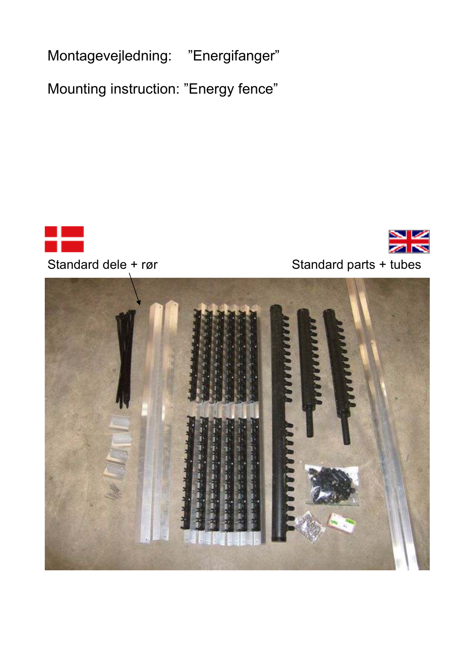Montagevejledning: "Energifanger"

Mounting instruction: "Energy fence"





## Standard dele + rør Standard parts + tubes

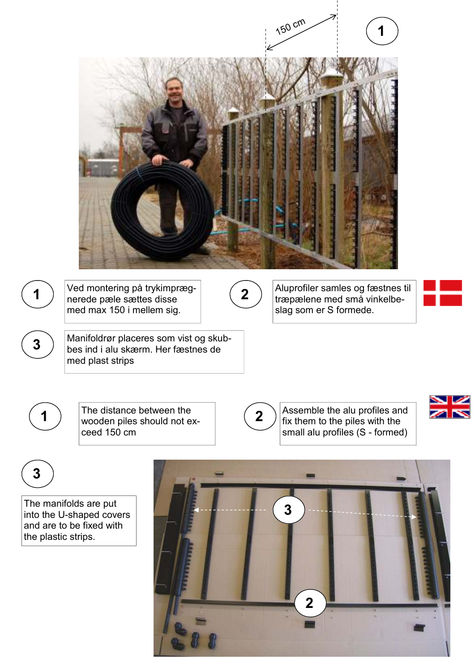|                                                                                       |             | 150 cm                 |                                                                  |
|---------------------------------------------------------------------------------------|-------------|------------------------|------------------------------------------------------------------|
|                                                                                       |             |                        |                                                                  |
|                                                                                       |             |                        |                                                                  |
|                                                                                       |             |                        |                                                                  |
|                                                                                       |             |                        |                                                                  |
|                                                                                       |             |                        |                                                                  |
|                                                                                       |             |                        |                                                                  |
| Ved montering på trykimpræg-<br>nerede pæle sættes disse<br>med max 150 i mellem sig. | $\mathbf 2$ | slag som er S formede. | Aluprofiler samles og fæstnes til<br>træpælene med små vinkelbe- |
| Manifoldrør placeres som vist og skub-<br>bes ind i alu skærm. Her fæstnes de         |             |                        |                                                                  |
| med plast strips                                                                      |             |                        |                                                                  |



**2 3** 

fix them to the piles with the small alu profiles (S - formed)

**3** 

The manifolds are put into the U-shaped covers and are to be fixed with the plastic strips.

wooden piles should not ex-

ceed 150 cm

 $\begin{pmatrix} 1 \end{pmatrix}$ 

**3**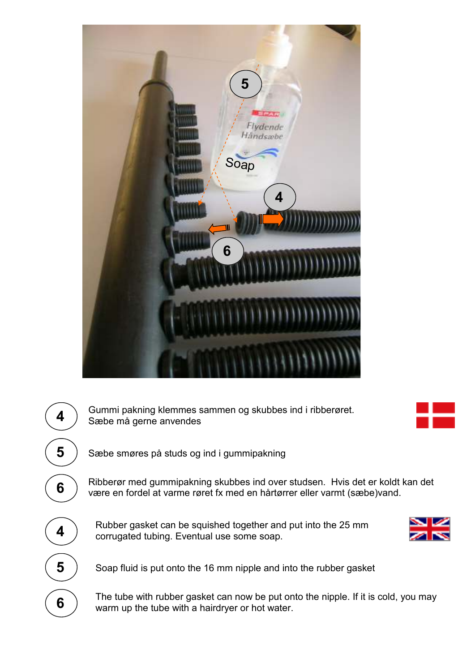



4 > Gummi pakning klemmes sammen og skubbes ind i ribberøret.<br>Sæbe må gerne anvendes



Sæbe smøres på studs og ind i gummipakning

Ribberør med gummipakning skubbes ind over studsen. Hvis det er koldt kan det være en fordel at varme røret fx med en hårtørrer eller varmt (sæbe)vand.

Rubber gasket can be squished together and put into the 25 mm corrugated tubing. Eventual use some soap.



Soap fluid is put onto the 16 mm nipple and into the rubber gasket

The tube with rubber gasket can now be put onto the nipple. If it is cold, you may warm up the tube with a hairdryer or hot water.